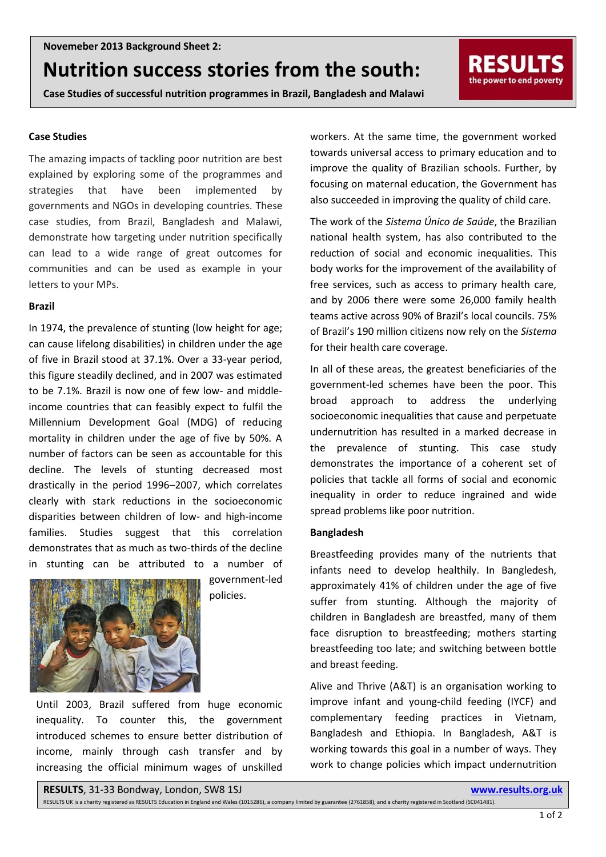# **Nutrition success stories from the south:**

**Case Studies of successful nutrition programmes in Brazil, Bangladesh and Malawi**

#### **Case Studies**

The amazing impacts of tackling poor nutrition are best explained by exploring some of the programmes and strategies that have been implemented by governments and NGOs in developing countries. These case studies, from Brazil, Bangladesh and Malawi, demonstrate how targeting under nutrition specifically can lead to a wide range of great outcomes for communities and can be used as example in your letters to your MPs.

## **Brazil**

In 1974, the prevalence of stunting (low height for age; can cause lifelong disabilities) in children under the age of five in Brazil stood at 37.1%. Over a 33-year period, this figure steadily declined, and in 2007 was estimated to be 7.1%. Brazil is now one of few low- and middleincome countries that can feasibly expect to fulfil the Millennium Development Goal (MDG) of reducing mortality in children under the age of five by 50%. A number of factors can be seen as accountable for this decline. The levels of stunting decreased most drastically in the period 1996–2007, which correlates clearly with stark reductions in the socioeconomic disparities between children of low- and high-income families. Studies suggest that this correlation demonstrates that as much as two-thirds of the decline in stunting can be attributed to a number of



government-led policies.

Until 2003, Brazil suffered from huge economic inequality. To counter this, the government introduced schemes to ensure better distribution of income, mainly through cash transfer and by increasing the official minimum wages of unskilled workers. At the same time, the government worked towards universal access to primary education and to improve the quality of Brazilian schools. Further, by focusing on maternal education, the Government has also succeeded in improving the quality of child care.

RESULT the power to end poverty

The work of the *Sistema Único de Saúde*, the Brazilian national health system, has also contributed to the reduction of social and economic inequalities. This body works for the improvement of the availability of free services, such as access to primary health care, and by 2006 there were some 26,000 family health teams active across 90% of Brazil's local councils. 75% of Brazil's 190 million citizens now rely on the *Sistema* for their health care coverage.

In all of these areas, the greatest beneficiaries of the government-led schemes have been the poor. This broad approach to address the underlying socioeconomic inequalities that cause and perpetuate undernutrition has resulted in a marked decrease in the prevalence of stunting. This case study demonstrates the importance of a coherent set of policies that tackle all forms of social and economic inequality in order to reduce ingrained and wide spread problems like poor nutrition.

### **Bangladesh**

Breastfeeding provides many of the nutrients that infants need to develop healthily. In Bangledesh, approximately 41% of children under the age of five suffer from stunting. Although the majority of children in Bangladesh are breastfed, many of them face disruption to breastfeeding; mothers starting breastfeeding too late; and switching between bottle and breast feeding.

Alive and Thrive (A&T) is an organisation working to improve infant and young-child feeding (IYCF) and complementary feeding practices in Vietnam, Bangladesh and Ethiopia. In Bangladesh, A&T is working towards this goal in a number of ways. They work to change policies which impact undernutrition

**RESULTS**, 31-33 Bondway, London, SW8 1SJ **www.results.org.uk**

RESULTS UK is a charity registered as RESULTS Education in England and Wales (1015286), a company limited by guarantee (2761858), and a charity registered in Scotland (SC041481).